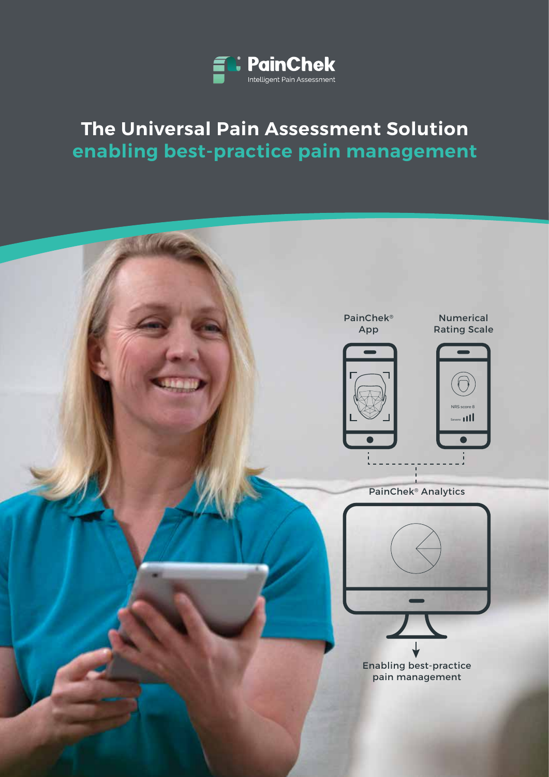

## **The Universal Pain Assessment Solution enabling best-practice pain management**

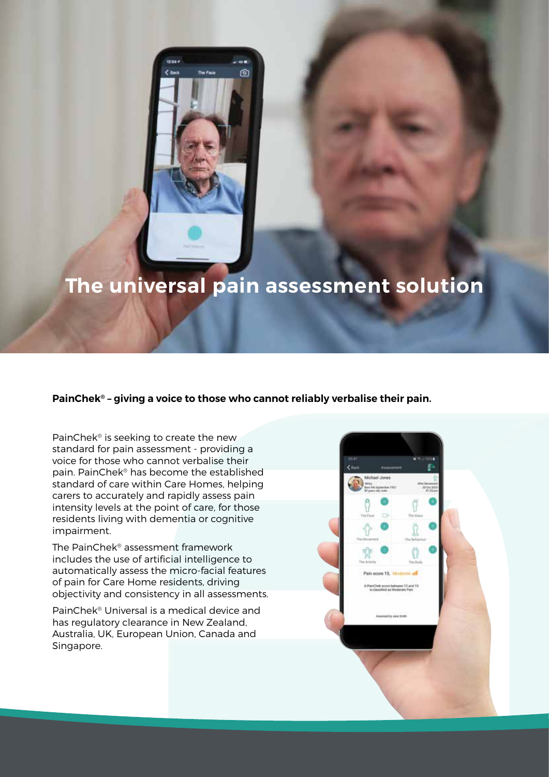

# **The universal pain assessment solution**

### **PainChek® – giving a voice to those who cannot reliably verbalise their pain.**

PainChek® is seeking to create the new standard for pain assessment - providing a voice for those who cannot verbalise their pain. PainChek® has become the established standard of care within Care Homes, helping carers to accurately and rapidly assess pain intensity levels at the point of care, for those residents living with dementia or cognitive impairment.

The PainChek® assessment framework includes the use of artificial intelligence to automatically assess the micro-facial features of pain for Care Home residents, driving objectivity and consistency in all assessments.

PainChek® Universal is a medical device and has regulatory clearance in New Zealand, Australia, UK, European Union, Canada and Singapore.

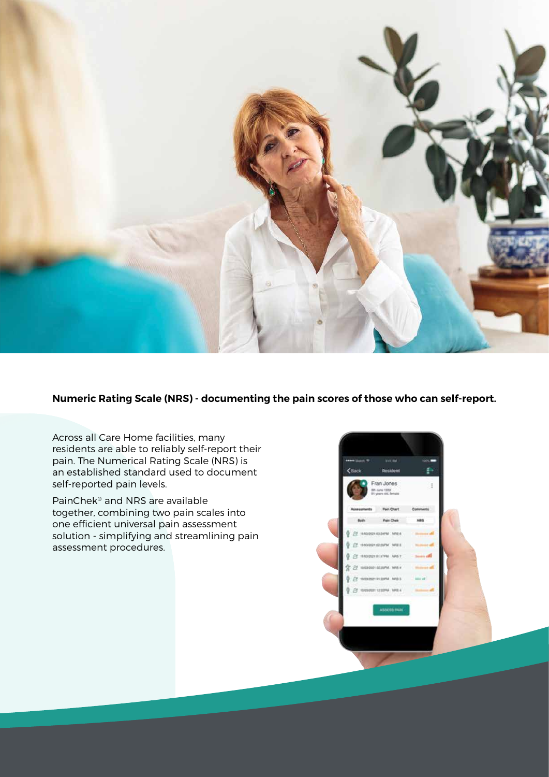

**Numeric Rating Scale (NRS) - documenting the pain scores of those who can self-report.**

Across all Care Home facilities, many residents are able to reliably self-report their pain. The Numerical Rating Scale (NRS) is an established standard used to document self-reported pain levels.

PainChek® and NRS are available together, combining two pain scales into one efficient universal pain assessment solution - simplifying and streamlining pain assessment procedures.

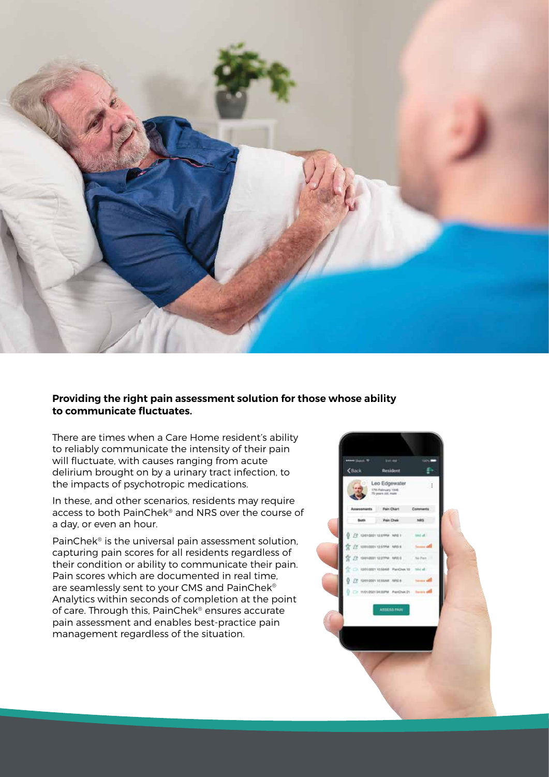

### **Providing the right pain assessment solution for those whose ability to communicate fluctuates.**

There are times when a Care Home resident's ability to reliably communicate the intensity of their pain will fluctuate, with causes ranging from acute delirium brought on by a urinary tract infection, to the impacts of psychotropic medications.

In these, and other scenarios, residents may require access to both PainChek® and NRS over the course of a day, or even an hour.

PainChek® is the universal pain assessment solution, capturing pain scores for all residents regardless of their condition or ability to communicate their pain. Pain scores which are documented in real time, are seamlessly sent to your CMS and PainChek® Analytics within seconds of completion at the point of care. Through this, PainChek® ensures accurate pain assessment and enables best-practice pain management regardless of the situation.

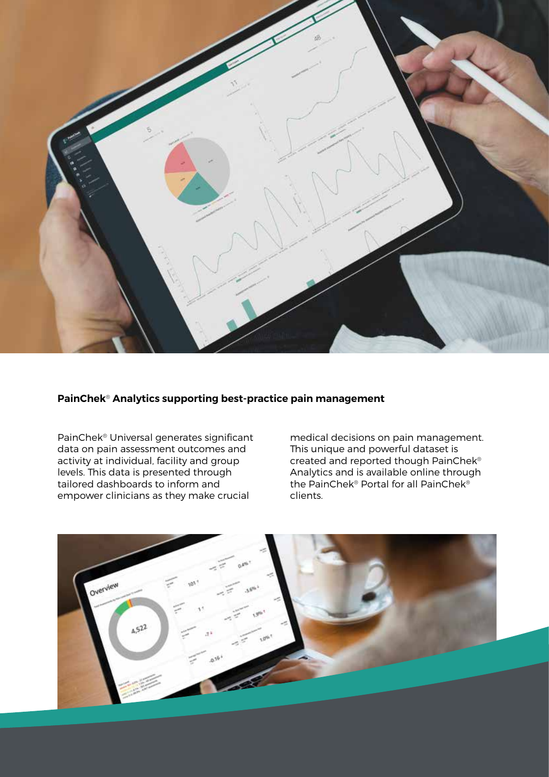

### **PainChek**® **Analytics supporting best-practice pain management**

PainChek® Universal generates significant data on pain assessment outcomes and activity at individual, facility and group levels. This data is presented through tailored dashboards to inform and empower clinicians as they make crucial

medical decisions on pain management. This unique and powerful dataset is created and reported though PainChek® Analytics and is available online through the PainChek® Portal for all PainChek® clients.

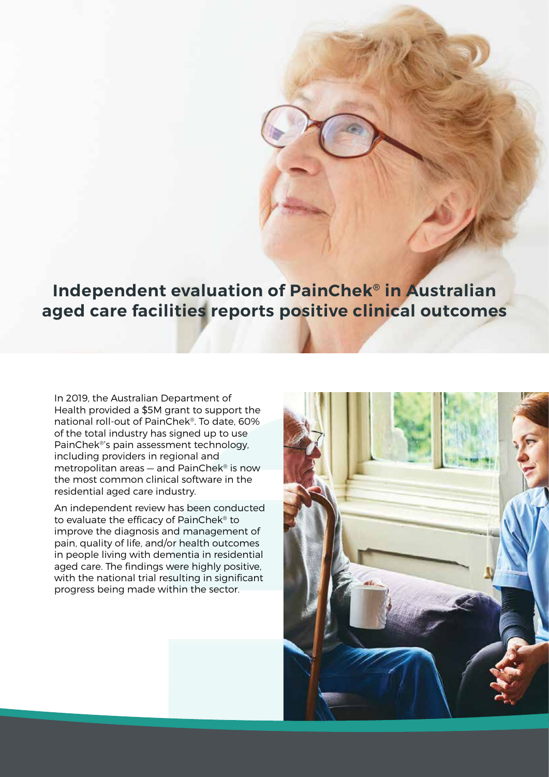### **Independent evaluation of PainChek® in Australian aged care facilities reports positive clinical outcomes**

In 2019, the Australian Department of Health provided a \$5M grant to support the national roll-out of PainChek®. To date, 60% of the total industry has signed up to use PainChek®'s pain assessment technology, including providers in regional and metropolitan areas — and PainChek® is now the most common clinical software in the residential aged care industry.

An independent review has been conducted to evaluate the efficacy of PainChek® to improve the diagnosis and management of pain, quality of life, and/or health outcomes in people living with dementia in residential aged care. The findings were highly positive, with the national trial resulting in significant progress being made within the sector.

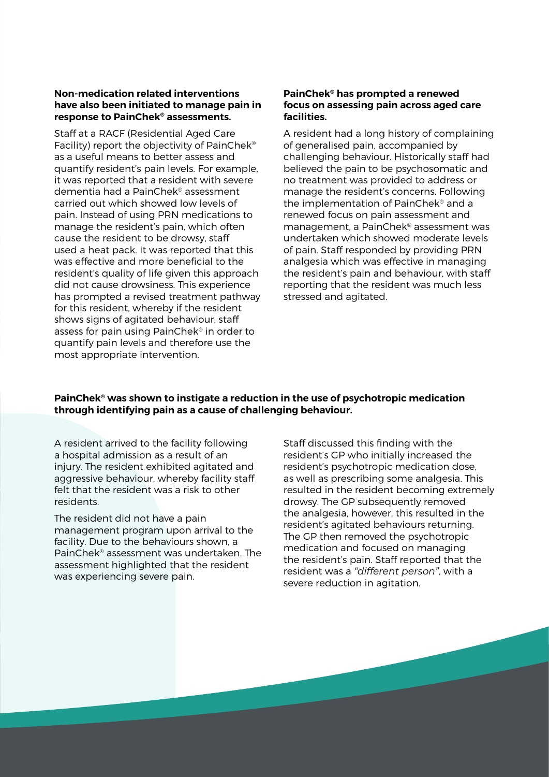### **Non-medication related interventions have also been initiated to manage pain in response to PainChek® assessments.**

Staff at a RACF (Residential Aged Care Facility) report the objectivity of PainChek® as a useful means to better assess and quantify resident's pain levels. For example, it was reported that a resident with severe dementia had a PainChek® assessment carried out which showed low levels of pain. Instead of using PRN medications to manage the resident's pain, which often cause the resident to be drowsy, staff used a heat pack. It was reported that this was effective and more beneficial to the resident's quality of life given this approach did not cause drowsiness. This experience has prompted a revised treatment pathway for this resident, whereby if the resident shows signs of agitated behaviour, staff assess for pain using PainChek® in order to quantify pain levels and therefore use the most appropriate intervention.

### **PainChek® has prompted a renewed focus on assessing pain across aged care facilities.**

A resident had a long history of complaining of generalised pain, accompanied by challenging behaviour. Historically staff had believed the pain to be psychosomatic and no treatment was provided to address or manage the resident's concerns. Following the implementation of PainChek® and a renewed focus on pain assessment and management, a PainChek® assessment was undertaken which showed moderate levels of pain. Staff responded by providing PRN analgesia which was effective in managing the resident's pain and behaviour, with staff reporting that the resident was much less stressed and agitated.

### **PainChek® was shown to instigate a reduction in the use of psychotropic medication through identifying pain as a cause of challenging behaviour.**

A resident arrived to the facility following a hospital admission as a result of an injury. The resident exhibited agitated and aggressive behaviour, whereby facility staff felt that the resident was a risk to other residents.

The resident did not have a pain management program upon arrival to the facility. Due to the behaviours shown, a PainChek® assessment was undertaken. The assessment highlighted that the resident was experiencing severe pain.

Staff discussed this finding with the resident's GP who initially increased the resident's psychotropic medication dose, as well as prescribing some analgesia. This resulted in the resident becoming extremely drowsy. The GP subsequently removed the analgesia, however, this resulted in the resident's agitated behaviours returning. The GP then removed the psychotropic medication and focused on managing the resident's pain. Staff reported that the resident was a *"different person"*, with a severe reduction in agitation.